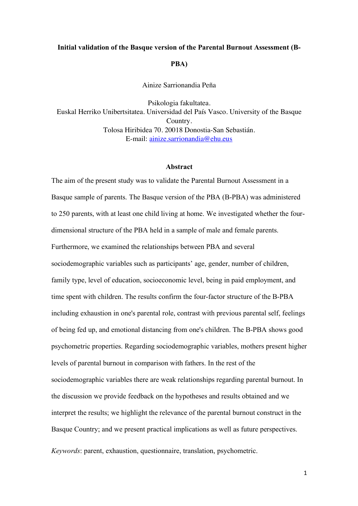#### **Initial validation of the Basque version of the Parental Burnout Assessment (B-**

#### **PBA)**

Ainize Sarrionandia Peña

Psikologia fakultatea. Euskal Herriko Unibertsitatea. Universidad del País Vasco. University of the Basque Country. Tolosa Hiribidea 70. 20018 Donostia-San Sebastián. E-mail: ainize.sarrionandia@ehu.eus

#### **Abstract**

The aim of the present study was to validate the Parental Burnout Assessment in a Basque sample of parents. The Basque version of the PBA (B-PBA) was administered to 250 parents, with at least one child living at home. We investigated whether the fourdimensional structure of the PBA held in a sample of male and female parents. Furthermore, we examined the relationships between PBA and several sociodemographic variables such as participants' age, gender, number of children, family type, level of education, socioeconomic level, being in paid employment, and time spent with children. The results confirm the four-factor structure of the B-PBA including exhaustion in one's parental role, contrast with previous parental self, feelings of being fed up, and emotional distancing from one's children. The B-PBA shows good psychometric properties. Regarding sociodemographic variables, mothers present higher levels of parental burnout in comparison with fathers. In the rest of the sociodemographic variables there are weak relationships regarding parental burnout. In the discussion we provide feedback on the hypotheses and results obtained and we interpret the results; we highlight the relevance of the parental burnout construct in the Basque Country; and we present practical implications as well as future perspectives.

*Keywords*: parent, exhaustion, questionnaire, translation, psychometric.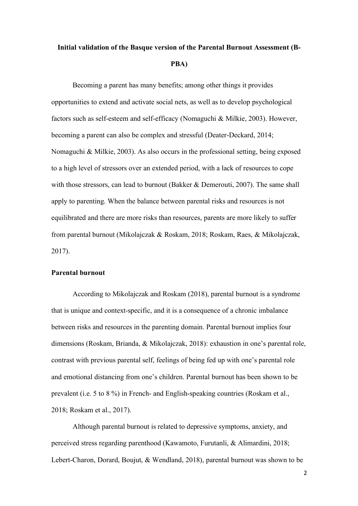# **Initial validation of the Basque version of the Parental Burnout Assessment (B-PBA)**

Becoming a parent has many benefits; among other things it provides opportunities to extend and activate social nets, as well as to develop psychological factors such as self-esteem and self-efficacy (Nomaguchi & Milkie, 2003). However, becoming a parent can also be complex and stressful (Deater-Deckard, 2014; Nomaguchi & Milkie, 2003). As also occurs in the professional setting, being exposed to a high level of stressors over an extended period, with a lack of resources to cope with those stressors, can lead to burnout (Bakker & Demerouti, 2007). The same shall apply to parenting. When the balance between parental risks and resources is not equilibrated and there are more risks than resources, parents are more likely to suffer from parental burnout (Mikolajczak & Roskam, 2018; Roskam, Raes, & Mikolajczak, 2017).

## **Parental burnout**

According to Mikolajczak and Roskam (2018), parental burnout is a syndrome that is unique and context-specific, and it is a consequence of a chronic imbalance between risks and resources in the parenting domain. Parental burnout implies four dimensions (Roskam, Brianda, & Mikolajczak, 2018): exhaustion in one's parental role, contrast with previous parental self, feelings of being fed up with one's parental role and emotional distancing from one's children. Parental burnout has been shown to be prevalent (i.e. 5 to 8 %) in French- and English-speaking countries (Roskam et al., 2018; Roskam et al., 2017).

Although parental burnout is related to depressive symptoms, anxiety, and perceived stress regarding parenthood (Kawamoto, Furutanli, & Alimardini, 2018; Lebert-Charon, Dorard, Boujut, & Wendland, 2018), parental burnout was shown to be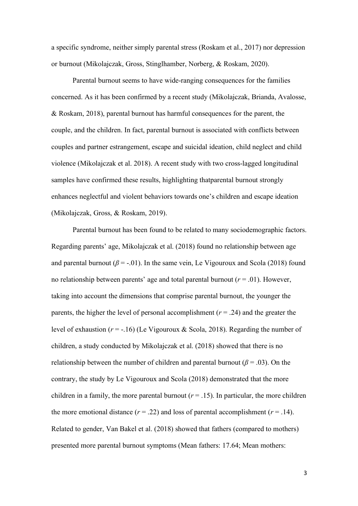a specific syndrome, neither simply parental stress (Roskam et al., 2017) nor depression or burnout (Mikolajczak, Gross, Stinglhamber, Norberg, & Roskam, 2020).

Parental burnout seems to have wide-ranging consequences for the families concerned. As it has been confirmed by a recent study (Mikolajczak, Brianda, Avalosse, & Roskam, 2018), parental burnout has harmful consequences for the parent, the couple, and the children. In fact, parental burnout is associated with conflicts between couples and partner estrangement, escape and suicidal ideation, child neglect and child violence (Mikolajczak et al. 2018). A recent study with two cross-lagged longitudinal samples have confirmed these results, highlighting thatparental burnout strongly enhances neglectful and violent behaviors towards one's children and escape ideation (Mikolajczak, Gross, & Roskam, 2019).

Parental burnout has been found to be related to many sociodemographic factors. Regarding parents' age, Mikolajczak et al. (2018) found no relationship between age and parental burnout ( $\beta$  = -.01). In the same vein, Le Vigouroux and Scola (2018) found no relationship between parents' age and total parental burnout  $(r = .01)$ . However, taking into account the dimensions that comprise parental burnout, the younger the parents, the higher the level of personal accomplishment ( $r = .24$ ) and the greater the level of exhaustion  $(r = -16)$  (Le Vigouroux & Scola, 2018). Regarding the number of children, a study conducted by Mikolajczak et al. (2018) showed that there is no relationship between the number of children and parental burnout ( $\beta$  = .03). On the contrary, the study by Le Vigouroux and Scola (2018) demonstrated that the more children in a family, the more parental burnout  $(r = .15)$ . In particular, the more children the more emotional distance  $(r = .22)$  and loss of parental accomplishment  $(r = .14)$ . Related to gender, Van Bakel et al. (2018) showed that fathers (compared to mothers) presented more parental burnout symptoms (Mean fathers: 17.64; Mean mothers: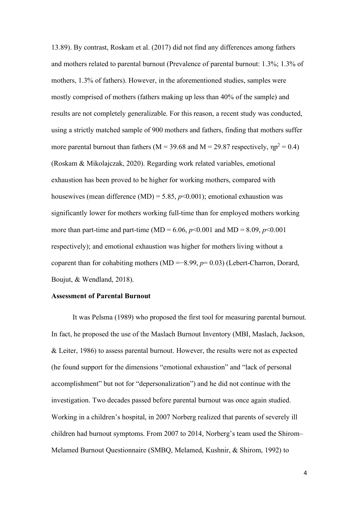13.89). By contrast, Roskam et al. (2017) did not find any differences among fathers and mothers related to parental burnout (Prevalence of parental burnout: 1.3%; 1.3% of mothers, 1.3% of fathers). However, in the aforementioned studies, samples were mostly comprised of mothers (fathers making up less than 40% of the sample) and results are not completely generalizable. For this reason, a recent study was conducted, using a strictly matched sample of 900 mothers and fathers, finding that mothers suffer more parental burnout than fathers ( $M = 39.68$  and  $M = 29.87$  respectively,  $np^2 = 0.4$ ) (Roskam & Mikolajczak, 2020). Regarding work related variables, emotional exhaustion has been proved to be higher for working mothers, compared with housewives (mean difference (MD) = 5.85,  $p$ <0.001); emotional exhaustion was significantly lower for mothers working full-time than for employed mothers working more than part-time and part-time (MD = 6.06,  $p$ <0.001 and MD = 8.09,  $p$ <0.001 respectively); and emotional exhaustion was higher for mothers living without a coparent than for cohabiting mothers (MD =−8.99, *p*= 0.03) (Lebert-Charron, Dorard, Boujut, & Wendland, 2018).

#### **Assessment of Parental Burnout**

It was Pelsma (1989) who proposed the first tool for measuring parental burnout. In fact, he proposed the use of the Maslach Burnout Inventory (MBI, Maslach, Jackson, & Leiter, 1986) to assess parental burnout. However, the results were not as expected (he found support for the dimensions "emotional exhaustion" and "lack of personal accomplishment" but not for "depersonalization") and he did not continue with the investigation. Two decades passed before parental burnout was once again studied. Working in a children's hospital, in 2007 Norberg realized that parents of severely ill children had burnout symptoms. From 2007 to 2014, Norberg's team used the Shirom– Melamed Burnout Questionnaire (SMBQ, Melamed, Kushnir, & Shirom, 1992) to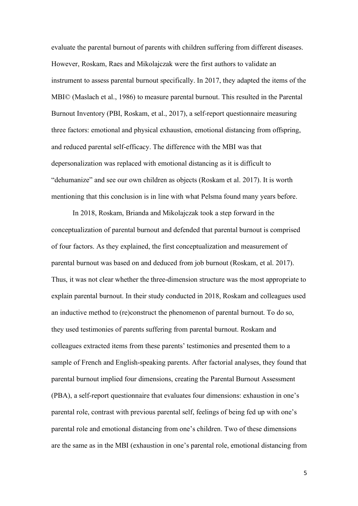evaluate the parental burnout of parents with children suffering from different diseases. However, Roskam, Raes and Mikolajczak were the first authors to validate an instrument to assess parental burnout specifically. In 2017, they adapted the items of the MBI© (Maslach et al., 1986) to measure parental burnout. This resulted in the Parental Burnout Inventory (PBI, Roskam, et al., 2017), a self-report questionnaire measuring three factors: emotional and physical exhaustion, emotional distancing from offspring, and reduced parental self-efficacy. The difference with the MBI was that depersonalization was replaced with emotional distancing as it is difficult to "dehumanize" and see our own children as objects (Roskam et al. 2017). It is worth mentioning that this conclusion is in line with what Pelsma found many years before.

In 2018, Roskam, Brianda and Mikolajczak took a step forward in the conceptualization of parental burnout and defended that parental burnout is comprised of four factors. As they explained, the first conceptualization and measurement of parental burnout was based on and deduced from job burnout (Roskam, et al. 2017). Thus, it was not clear whether the three-dimension structure was the most appropriate to explain parental burnout. In their study conducted in 2018, Roskam and colleagues used an inductive method to (re)construct the phenomenon of parental burnout. To do so, they used testimonies of parents suffering from parental burnout. Roskam and colleagues extracted items from these parents' testimonies and presented them to a sample of French and English-speaking parents. After factorial analyses, they found that parental burnout implied four dimensions, creating the Parental Burnout Assessment (PBA), a self-report questionnaire that evaluates four dimensions: exhaustion in one's parental role, contrast with previous parental self, feelings of being fed up with one's parental role and emotional distancing from one's children. Two of these dimensions are the same as in the MBI (exhaustion in one's parental role, emotional distancing from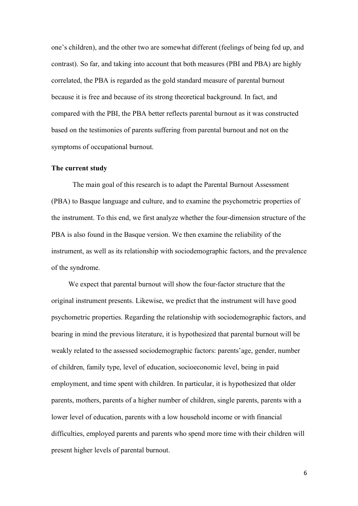one's children), and the other two are somewhat different (feelings of being fed up, and contrast). So far, and taking into account that both measures (PBI and PBA) are highly correlated, the PBA is regarded as the gold standard measure of parental burnout because it is free and because of its strong theoretical background. In fact, and compared with the PBI, the PBA better reflects parental burnout as it was constructed based on the testimonies of parents suffering from parental burnout and not on the symptoms of occupational burnout.

#### **The current study**

The main goal of this research is to adapt the Parental Burnout Assessment (PBA) to Basque language and culture, and to examine the psychometric properties of the instrument. To this end, we first analyze whether the four-dimension structure of the PBA is also found in the Basque version. We then examine the reliability of the instrument, as well as its relationship with sociodemographic factors, and the prevalence of the syndrome.

We expect that parental burnout will show the four-factor structure that the original instrument presents. Likewise, we predict that the instrument will have good psychometric properties. Regarding the relationship with sociodemographic factors, and bearing in mind the previous literature, it is hypothesized that parental burnout will be weakly related to the assessed sociodemographic factors: parents'age, gender, number of children, family type, level of education, socioeconomic level, being in paid employment, and time spent with children. In particular, it is hypothesized that older parents, mothers, parents of a higher number of children, single parents, parents with a lower level of education, parents with a low household income or with financial difficulties, employed parents and parents who spend more time with their children will present higher levels of parental burnout.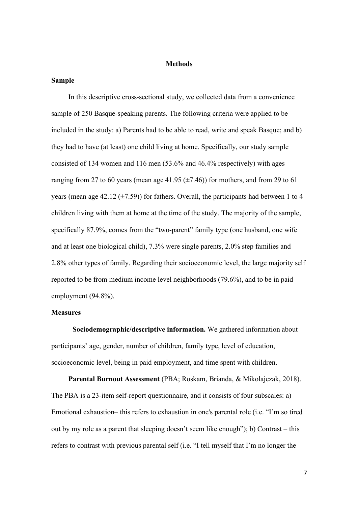#### **Methods**

#### **Sample**

In this descriptive cross-sectional study, we collected data from a convenience sample of 250 Basque-speaking parents. The following criteria were applied to be included in the study: a) Parents had to be able to read, write and speak Basque; and b) they had to have (at least) one child living at home. Specifically, our study sample consisted of 134 women and 116 men (53.6% and 46.4% respectively) with ages ranging from 27 to 60 years (mean age 41.95  $(\pm 7.46)$ ) for mothers, and from 29 to 61 years (mean age 42.12  $(\pm 7.59)$ ) for fathers. Overall, the participants had between 1 to 4 children living with them at home at the time of the study. The majority of the sample, specifically 87.9%, comes from the "two-parent" family type (one husband, one wife and at least one biological child), 7.3% were single parents, 2.0% step families and 2.8% other types of family. Regarding their socioeconomic level, the large majority self reported to be from medium income level neighborhoods (79.6%), and to be in paid employment (94.8%).

## **Measures**

**Sociodemographic/descriptive information.** We gathered information about participants' age, gender, number of children, family type, level of education, socioeconomic level, being in paid employment, and time spent with children.

**Parental Burnout Assessment** (PBA; Roskam, Brianda, & Mikolajczak, 2018). The PBA is a 23-item self-report questionnaire, and it consists of four subscales: a) Emotional exhaustion– this refers to exhaustion in one's parental role (i.e. "I'm so tired out by my role as a parent that sleeping doesn't seem like enough"); b) Contrast – this refers to contrast with previous parental self (i.e. "I tell myself that I'm no longer the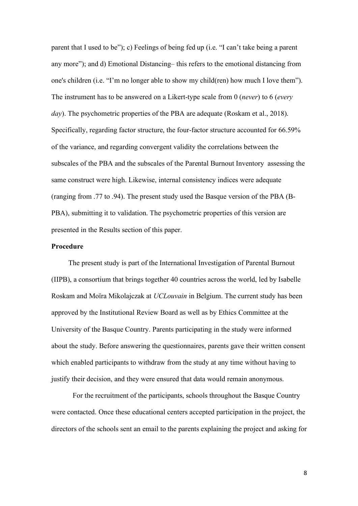parent that I used to be"); c) Feelings of being fed up (i.e. "I can't take being a parent any more"); and d) Emotional Distancing– this refers to the emotional distancing from one's children (i.e. "I'm no longer able to show my child(ren) how much I love them"). The instrument has to be answered on a Likert-type scale from 0 (*never*) to 6 (*every day*). The psychometric properties of the PBA are adequate (Roskam et al., 2018). Specifically, regarding factor structure, the four-factor structure accounted for 66.59% of the variance, and regarding convergent validity the correlations between the subscales of the PBA and the subscales of the Parental Burnout Inventory assessing the same construct were high. Likewise, internal consistency indices were adequate (ranging from .77 to .94). The present study used the Basque version of the PBA (B-PBA), submitting it to validation. The psychometric properties of this version are presented in the Results section of this paper.

## **Procedure**

The present study is part of the International Investigation of Parental Burnout (IIPB), a consortium that brings together 40 countries across the world, led by Isabelle Roskam and Moïra Mikolajczak at *UCLouvain* in Belgium. The current study has been approved by the Institutional Review Board as well as by Ethics Committee at the University of the Basque Country. Parents participating in the study were informed about the study. Before answering the questionnaires, parents gave their written consent which enabled participants to withdraw from the study at any time without having to justify their decision, and they were ensured that data would remain anonymous.

For the recruitment of the participants, schools throughout the Basque Country were contacted. Once these educational centers accepted participation in the project, the directors of the schools sent an email to the parents explaining the project and asking for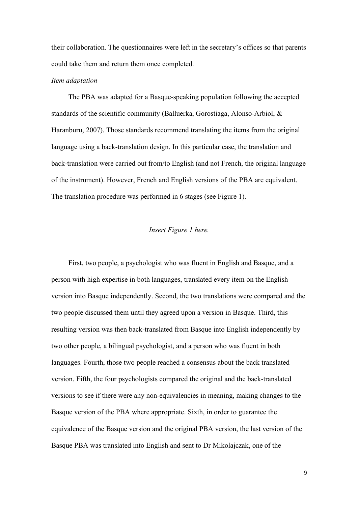their collaboration. The questionnaires were left in the secretary's offices so that parents could take them and return them once completed.

## *Item adaptation*

The PBA was adapted for a Basque-speaking population following the accepted standards of the scientific community (Balluerka, Gorostiaga, Alonso-Arbiol, & Haranburu, 2007). Those standards recommend translating the items from the original language using a back-translation design. In this particular case, the translation and back-translation were carried out from/to English (and not French, the original language of the instrument). However, French and English versions of the PBA are equivalent. The translation procedure was performed in 6 stages (see Figure 1).

#### *Insert Figure 1 here.*

First, two people, a psychologist who was fluent in English and Basque, and a person with high expertise in both languages, translated every item on the English version into Basque independently. Second, the two translations were compared and the two people discussed them until they agreed upon a version in Basque. Third, this resulting version was then back-translated from Basque into English independently by two other people, a bilingual psychologist, and a person who was fluent in both languages. Fourth, those two people reached a consensus about the back translated version. Fifth, the four psychologists compared the original and the back-translated versions to see if there were any non-equivalencies in meaning, making changes to the Basque version of the PBA where appropriate. Sixth, in order to guarantee the equivalence of the Basque version and the original PBA version, the last version of the Basque PBA was translated into English and sent to Dr Mikolajczak, one of the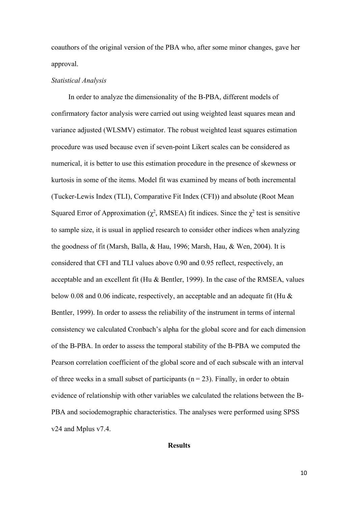coauthors of the original version of the PBA who, after some minor changes, gave her approval.

#### *Statistical Analysis*

In order to analyze the dimensionality of the B-PBA, different models of confirmatory factor analysis were carried out using weighted least squares mean and variance adjusted (WLSMV) estimator. The robust weighted least squares estimation procedure was used because even if seven-point Likert scales can be considered as numerical, it is better to use this estimation procedure in the presence of skewness or kurtosis in some of the items. Model fit was examined by means of both incremental (Tucker-Lewis Index (TLI), Comparative Fit Index (CFI)) and absolute (Root Mean Squared Error of Approximation ( $\chi^2$ , RMSEA) fit indices. Since the  $\chi^2$  test is sensitive to sample size, it is usual in applied research to consider other indices when analyzing the goodness of fit (Marsh, Balla, & Hau, 1996; Marsh, Hau, & Wen, 2004). It is considered that CFI and TLI values above 0.90 and 0.95 reflect, respectively, an acceptable and an excellent fit (Hu & Bentler, 1999). In the case of the RMSEA, values below 0.08 and 0.06 indicate, respectively, an acceptable and an adequate fit (Hu & Bentler, 1999). In order to assess the reliability of the instrument in terms of internal consistency we calculated Cronbach's alpha for the global score and for each dimension of the B-PBA. In order to assess the temporal stability of the B-PBA we computed the Pearson correlation coefficient of the global score and of each subscale with an interval of three weeks in a small subset of participants ( $n = 23$ ). Finally, in order to obtain evidence of relationship with other variables we calculated the relations between the B-PBA and sociodemographic characteristics. The analyses were performed using SPSS v24 and Mplus v7.4.

#### **Results**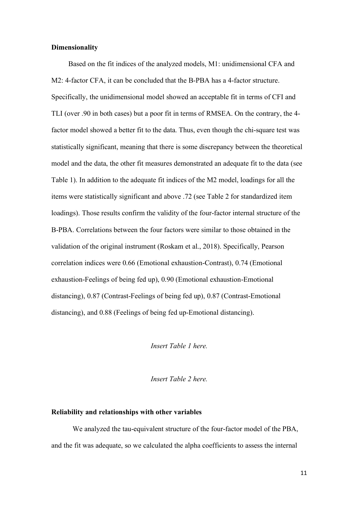#### **Dimensionality**

Based on the fit indices of the analyzed models, M1: unidimensional CFA and M2: 4-factor CFA, it can be concluded that the B-PBA has a 4-factor structure. Specifically, the unidimensional model showed an acceptable fit in terms of CFI and TLI (over .90 in both cases) but a poor fit in terms of RMSEA. On the contrary, the 4 factor model showed a better fit to the data. Thus, even though the chi-square test was statistically significant, meaning that there is some discrepancy between the theoretical model and the data, the other fit measures demonstrated an adequate fit to the data (see Table 1). In addition to the adequate fit indices of the M2 model, loadings for all the items were statistically significant and above .72 (see Table 2 for standardized item loadings). Those results confirm the validity of the four-factor internal structure of the B-PBA. Correlations between the four factors were similar to those obtained in the validation of the original instrument (Roskam et al., 2018). Specifically, Pearson correlation indices were 0.66 (Emotional exhaustion-Contrast), 0.74 (Emotional exhaustion-Feelings of being fed up), 0.90 (Emotional exhaustion-Emotional distancing), 0.87 (Contrast-Feelings of being fed up), 0.87 (Contrast-Emotional distancing), and 0.88 (Feelings of being fed up-Emotional distancing).

*Insert Table 1 here.*

*Insert Table 2 here.*

#### **Reliability and relationships with other variables**

We analyzed the tau-equivalent structure of the four-factor model of the PBA, and the fit was adequate, so we calculated the alpha coefficients to assess the internal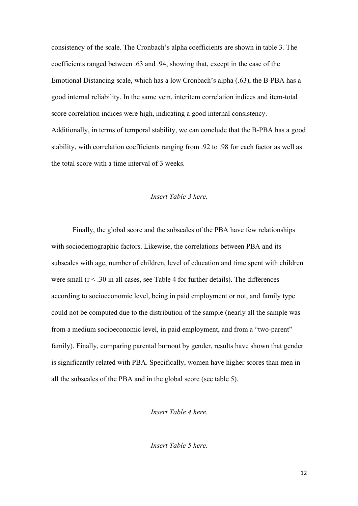consistency of the scale. The Cronbach's alpha coefficients are shown in table 3. The coefficients ranged between .63 and .94, showing that, except in the case of the Emotional Distancing scale, which has a low Cronbach's alpha (.63), the B-PBA has a good internal reliability. In the same vein, interitem correlation indices and item-total score correlation indices were high, indicating a good internal consistency. Additionally, in terms of temporal stability, we can conclude that the B-PBA has a good stability, with correlation coefficients ranging from .92 to .98 for each factor as well as the total score with a time interval of 3 weeks.

## *Insert Table 3 here.*

Finally, the global score and the subscales of the PBA have few relationships with sociodemographic factors. Likewise, the correlations between PBA and its subscales with age, number of children, level of education and time spent with children were small  $(r < .30$  in all cases, see Table 4 for further details). The differences according to socioeconomic level, being in paid employment or not, and family type could not be computed due to the distribution of the sample (nearly all the sample was from a medium socioeconomic level, in paid employment, and from a "two-parent" family). Finally, comparing parental burnout by gender, results have shown that gender is significantly related with PBA. Specifically, women have higher scores than men in all the subscales of the PBA and in the global score (see table 5).

## *Insert Table 4 here.*

*Insert Table 5 here.*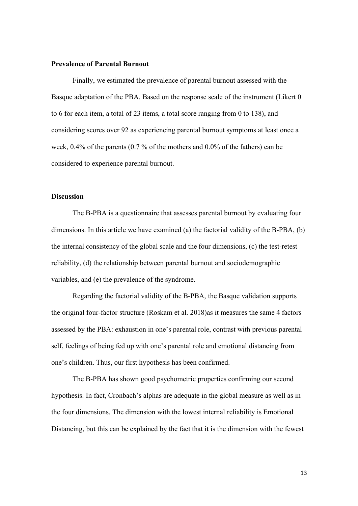#### **Prevalence of Parental Burnout**

Finally, we estimated the prevalence of parental burnout assessed with the Basque adaptation of the PBA. Based on the response scale of the instrument (Likert 0 to 6 for each item, a total of 23 items, a total score ranging from 0 to 138), and considering scores over 92 as experiencing parental burnout symptoms at least once a week, 0.4% of the parents (0.7 % of the mothers and 0.0% of the fathers) can be considered to experience parental burnout.

## **Discussion**

The B-PBA is a questionnaire that assesses parental burnout by evaluating four dimensions. In this article we have examined (a) the factorial validity of the B-PBA, (b) the internal consistency of the global scale and the four dimensions, (c) the test-retest reliability, (d) the relationship between parental burnout and sociodemographic variables, and (e) the prevalence of the syndrome.

Regarding the factorial validity of the B-PBA, the Basque validation supports the original four-factor structure (Roskam et al. 2018)as it measures the same 4 factors assessed by the PBA: exhaustion in one's parental role, contrast with previous parental self, feelings of being fed up with one's parental role and emotional distancing from one's children. Thus, our first hypothesis has been confirmed.

The B-PBA has shown good psychometric properties confirming our second hypothesis. In fact, Cronbach's alphas are adequate in the global measure as well as in the four dimensions. The dimension with the lowest internal reliability is Emotional Distancing, but this can be explained by the fact that it is the dimension with the fewest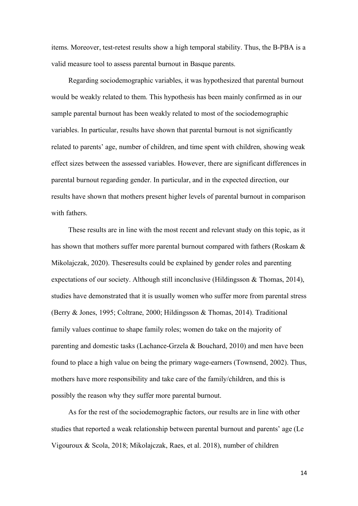items. Moreover, test-retest results show a high temporal stability. Thus, the B-PBA is a valid measure tool to assess parental burnout in Basque parents.

Regarding sociodemographic variables, it was hypothesized that parental burnout would be weakly related to them. This hypothesis has been mainly confirmed as in our sample parental burnout has been weakly related to most of the sociodemographic variables. In particular, results have shown that parental burnout is not significantly related to parents' age, number of children, and time spent with children, showing weak effect sizes between the assessed variables. However, there are significant differences in parental burnout regarding gender. In particular, and in the expected direction, our results have shown that mothers present higher levels of parental burnout in comparison with fathers.

These results are in line with the most recent and relevant study on this topic, as it has shown that mothers suffer more parental burnout compared with fathers (Roskam & Mikolajczak, 2020). Theseresults could be explained by gender roles and parenting expectations of our society. Although still inconclusive (Hildingsson & Thomas, 2014), studies have demonstrated that it is usually women who suffer more from parental stress (Berry & Jones, 1995; Coltrane, 2000; Hildingsson & Thomas, 2014). Traditional family values continue to shape family roles; women do take on the majority of parenting and domestic tasks (Lachance-Grzela & Bouchard, 2010) and men have been found to place a high value on being the primary wage-earners (Townsend, 2002). Thus, mothers have more responsibility and take care of the family/children, and this is possibly the reason why they suffer more parental burnout.

As for the rest of the sociodemographic factors, our results are in line with other studies that reported a weak relationship between parental burnout and parents' age (Le Vigouroux & Scola, 2018; Mikolajczak, Raes, et al. 2018), number of children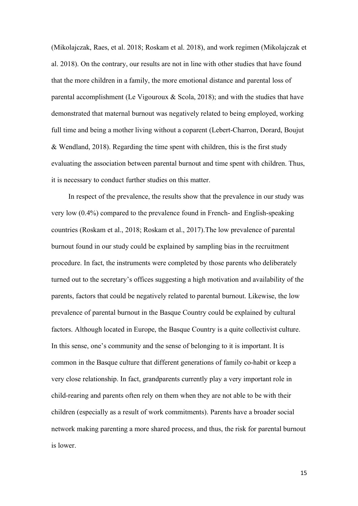(Mikolajczak, Raes, et al. 2018; Roskam et al. 2018), and work regimen (Mikolajczak et al. 2018). On the contrary, our results are not in line with other studies that have found that the more children in a family, the more emotional distance and parental loss of parental accomplishment (Le Vigouroux  $\&$  Scola, 2018); and with the studies that have demonstrated that maternal burnout was negatively related to being employed, working full time and being a mother living without a coparent (Lebert-Charron, Dorard, Boujut & Wendland, 2018). Regarding the time spent with children, this is the first study evaluating the association between parental burnout and time spent with children. Thus, it is necessary to conduct further studies on this matter.

In respect of the prevalence, the results show that the prevalence in our study was very low (0.4%) compared to the prevalence found in French- and English-speaking countries (Roskam et al., 2018; Roskam et al., 2017).The low prevalence of parental burnout found in our study could be explained by sampling bias in the recruitment procedure. In fact, the instruments were completed by those parents who deliberately turned out to the secretary's offices suggesting a high motivation and availability of the parents, factors that could be negatively related to parental burnout. Likewise, the low prevalence of parental burnout in the Basque Country could be explained by cultural factors. Although located in Europe, the Basque Country is a quite collectivist culture. In this sense, one's community and the sense of belonging to it is important. It is common in the Basque culture that different generations of family co-habit or keep a very close relationship. In fact, grandparents currently play a very important role in child-rearing and parents often rely on them when they are not able to be with their children (especially as a result of work commitments). Parents have a broader social network making parenting a more shared process, and thus, the risk for parental burnout is lower.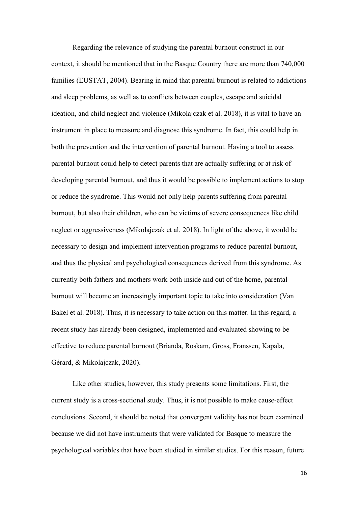Regarding the relevance of studying the parental burnout construct in our context, it should be mentioned that in the Basque Country there are more than 740,000 families (EUSTAT, 2004). Bearing in mind that parental burnout is related to addictions and sleep problems, as well as to conflicts between couples, escape and suicidal ideation, and child neglect and violence (Mikolajczak et al. 2018), it is vital to have an instrument in place to measure and diagnose this syndrome. In fact, this could help in both the prevention and the intervention of parental burnout. Having a tool to assess parental burnout could help to detect parents that are actually suffering or at risk of developing parental burnout, and thus it would be possible to implement actions to stop or reduce the syndrome. This would not only help parents suffering from parental burnout, but also their children, who can be victims of severe consequences like child neglect or aggressiveness (Mikolajczak et al. 2018). In light of the above, it would be necessary to design and implement intervention programs to reduce parental burnout, and thus the physical and psychological consequences derived from this syndrome. As currently both fathers and mothers work both inside and out of the home, parental burnout will become an increasingly important topic to take into consideration (Van Bakel et al. 2018). Thus, it is necessary to take action on this matter. In this regard, a recent study has already been designed, implemented and evaluated showing to be effective to reduce parental burnout (Brianda, Roskam, Gross, Franssen, Kapala, Gérard, & Mikolajczak, 2020).

Like other studies, however, this study presents some limitations. First, the current study is a cross-sectional study. Thus, it is not possible to make cause-effect conclusions. Second, it should be noted that convergent validity has not been examined because we did not have instruments that were validated for Basque to measure the psychological variables that have been studied in similar studies. For this reason, future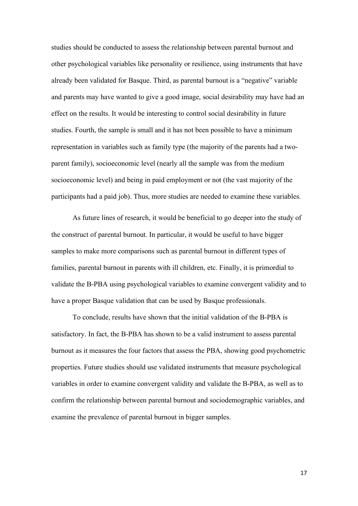studies should be conducted to assess the relationship between parental burnout and other psychological variables like personality or resilience, using instruments that have already been validated for Basque. Third, as parental burnout is a "negative" variable and parents may have wanted to give a good image, social desirability may have had an effect on the results. It would be interesting to control social desirability in future studies. Fourth, the sample is small and it has not been possible to have a minimum representation in variables such as family type (the majority of the parents had a twoparent family), socioeconomic level (nearly all the sample was from the medium socioeconomic level) and being in paid employment or not (the vast majority of the participants had a paid job). Thus, more studies are needed to examine these variables.

As future lines of research, it would be beneficial to go deeper into the study of the construct of parental burnout. In particular, it would be useful to have bigger samples to make more comparisons such as parental burnout in different types of families, parental burnout in parents with ill children, etc. Finally, it is primordial to validate the B-PBA using psychological variables to examine convergent validity and to have a proper Basque validation that can be used by Basque professionals.

To conclude, results have shown that the initial validation of the B-PBA is satisfactory. In fact, the B-PBA has shown to be a valid instrument to assess parental burnout as it measures the four factors that assess the PBA, showing good psychometric properties. Future studies should use validated instruments that measure psychological variables in order to examine convergent validity and validate the B-PBA, as well as to confirm the relationship between parental burnout and sociodemographic variables, and examine the prevalence of parental burnout in bigger samples.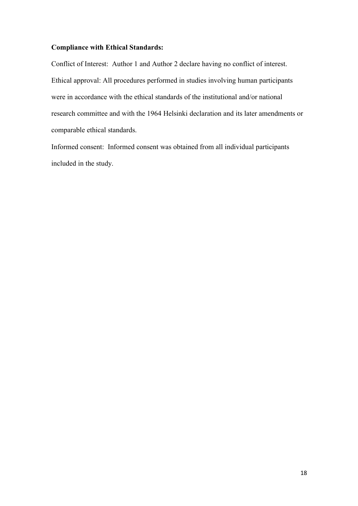## **Compliance with Ethical Standards:**

Conflict of Interest: Author 1 and Author 2 declare having no conflict of interest. Ethical approval: All procedures performed in studies involving human participants were in accordance with the ethical standards of the institutional and/or national research committee and with the 1964 Helsinki declaration and its later amendments or comparable ethical standards.

Informed consent: Informed consent was obtained from all individual participants included in the study.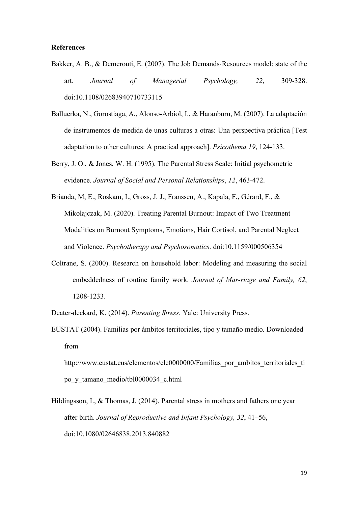#### **References**

- Bakker, A. B., & Demerouti, E. (2007). The Job Demands-Resources model: state of the art. *Journal of Managerial Psychology, 22*, 309-328. doi:10.1108/02683940710733115
- Balluerka, N., Gorostiaga, A., Alonso-Arbiol, I., & Haranburu, M. (2007). La adaptación de instrumentos de medida de unas culturas a otras: Una perspectiva práctica [Test adaptation to other cultures: A practical approach]. *Psicothema,19*, 124-133.
- Berry, J. O., & Jones, W. H. (1995). The Parental Stress Scale: Initial psychometric evidence. *Journal of Social and Personal Relationships*, *12*, 463-472.
- Brianda, M, E., Roskam, I., Gross, J. J., Franssen, A., Kapala, F., Gérard, F., & Mikolajczak, M. (2020). Treating Parental Burnout: Impact of Two Treatment Modalities on Burnout Symptoms, Emotions, Hair Cortisol, and Parental Neglect and Violence. *Psychotherapy and Psychosomatics*. doi:10.1159/000506354
- Coltrane, S. (2000). Research on household labor: Modeling and measuring the social embeddedness of routine family work. *Journal of Mar-riage and Family, 62*, 1208-1233.
- Deater-deckard, K. (2014). *Parenting Stress*. Yale: University Press.
- EUSTAT (2004). Familias por ámbitos territoriales, tipo y tamaño medio. Downloaded from

http://www.eustat.eus/elementos/ele0000000/Familias\_por\_ambitos\_territoriales\_ti po\_y\_tamano\_medio/tbl0000034\_c.html

Hildingsson, I., & Thomas, J. (2014). Parental stress in mothers and fathers one year after birth. *Journal of Reproductive and Infant Psychology, 32*, 41–56, doi:10.1080/02646838.2013.840882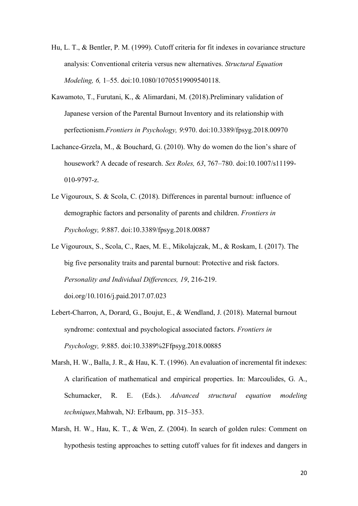- Hu, L. T., & Bentler, P. M. (1999). Cutoff criteria for fit indexes in covariance structure analysis: Conventional criteria versus new alternatives. *Structural Equation Modeling, 6,* 1–55. doi:10.1080/10705519909540118.
- Kawamoto, T., Furutani, K., & Alimardani, M. (2018).Preliminary validation of Japanese version of the Parental Burnout Inventory and its relationship with perfectionism.*Frontiers in Psychology, 9*:970. doi:10.3389/fpsyg.2018.00970
- Lachance-Grzela, M., & Bouchard, G. (2010). Why do women do the lion's share of housework? A decade of research. *Sex Roles, 63*, 767–780. doi:10.1007/s11199- 010-9797-z.
- Le Vigouroux, S. & Scola, C. (2018). Differences in parental burnout: influence of demographic factors and personality of parents and children. *Frontiers in Psychology, 9*:887. doi:10.3389/fpsyg.2018.00887
- Le Vigouroux, S., Scola, C., Raes, M. E., Mikolajczak, M., & Roskam, I. (2017). The big five personality traits and parental burnout: Protective and risk factors. *Personality and Individual Differences, 19*, 216-219. doi.org/10.1016/j.paid.2017.07.023
- Lebert-Charron, A, Dorard, G., Boujut, E., & Wendland, J. (2018). Maternal burnout syndrome: contextual and psychological associated factors. *Frontiers in Psychology, 9*:885. doi:10.3389%2Ffpsyg.2018.00885
- Marsh, H. W., Balla, J. R., & Hau, K. T. (1996). An evaluation of incremental fit indexes: A clarification of mathematical and empirical properties. In: Marcoulides, G. A., Schumacker, R. E. (Eds.). *Advanced structural equation modeling techniques,*Mahwah, NJ: Erlbaum, pp. 315–353.
- Marsh, H. W., Hau, K. T., & Wen, Z. (2004). In search of golden rules: Comment on hypothesis testing approaches to setting cutoff values for fit indexes and dangers in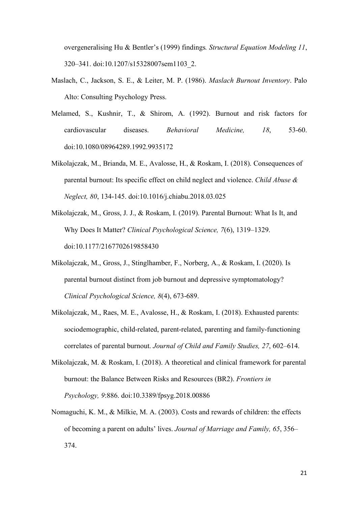overgeneralising Hu & Bentler's (1999) findings*. Structural Equation Modeling 11*, 320–341. doi:10.1207/s15328007sem1103\_2.

- Maslach, C., Jackson, S. E., & Leiter, M. P. (1986). *Maslach Burnout Inventory*. Palo Alto: Consulting Psychology Press.
- Melamed, S., Kushnir, T., & Shirom, A. (1992). Burnout and risk factors for cardiovascular diseases. *Behavioral Medicine, 18*, 53-60. doi:10.1080/08964289.1992.9935172
- Mikolajczak, M., Brianda, M. E., Avalosse, H., & Roskam, I. (2018). Consequences of parental burnout: Its specific effect on child neglect and violence. *Child Abuse & Neglect, 80*, 134-145. doi:10.1016/j.chiabu.2018.03.025
- Mikolajczak, M., Gross, J. J., & Roskam, I. (2019). Parental Burnout: What Is It, and Why Does It Matter? *Clinical Psychological Science, 7*(6), 1319–1329. doi:10.1177/2167702619858430
- Mikolajczak, M., Gross, J., Stinglhamber, F., Norberg, A., & Roskam, I. (2020). Is parental burnout distinct from job burnout and depressive symptomatology? *Clinical Psychological Science, 8*(4), 673-689.
- Mikolajczak, M., Raes, M. E., Avalosse, H., & Roskam, I. (2018). Exhausted parents: sociodemographic, child-related, parent-related, parenting and family-functioning correlates of parental burnout. *Journal of Child and Family Studies, 27*, 602–614.
- Mikolajczak, M. & Roskam, I. (2018). A theoretical and clinical framework for parental burnout: the Balance Between Risks and Resources (BR2). *Frontiers in Psychology, 9*:886. doi:10.3389/fpsyg.2018.00886
- Nomaguchi, K. M., & Milkie, M. A. (2003). Costs and rewards of children: the effects of becoming a parent on adults' lives. *Journal of Marriage and Family, 65*, 356– 374.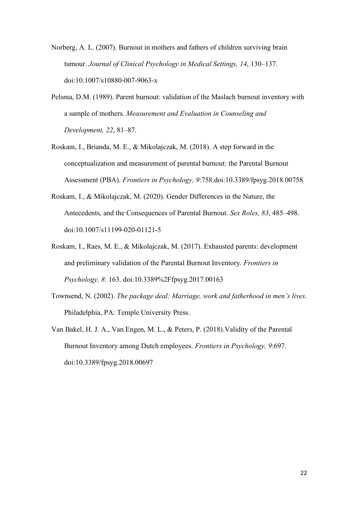- Norberg, A. L. (2007). Burnout in mothers and fathers of children surviving brain tumour. *Journal of Clinical Psychology in Medical Settings, 14*, 130–137. doi:10.1007/s10880-007-9063-x
- Pelsma, D.M. (1989). Parent burnout: validation of the Maslach burnout inventory with a sample of mothers. *Measurement and Evaluation in Counseling and Development, 22*, 81–87.
- Roskam, I., Brianda, M. E., & Mikolajczak, M. (2018). A step forward in the conceptualization and measurement of parental burnout: the Parental Burnout Assessment (PBA). *Frontiers in Psychology, 9*:758.doi:10.3389/fpsyg.2018.00758
- Roskam, I., & Mikolajczak, M. (2020). Gender Differences in the Nature, the Antecedents, and the Consequences of Parental Burnout. *Sex Roles, 83*, 485–498. doi:10.1007/s11199-020-01121-5
- Roskam, I., Raes, M. E., & Mikolajczak, M. (2017). Exhausted parents: development and preliminary validation of the Parental Burnout Inventory. *Frontiers in Psychology, 8*: 163. doi:10.3389%2Ffpsyg.2017.00163
- Townsend, N. (2002). *The package deal: Marriage, work and fatherhood in men's lives*. Philadelphia, PA: Temple University Press.
- Van Bakel, H. J. A., Van Engen, M. L., & Peters, P. (2018).Validity of the Parental Burnout Inventory among Dutch employees. *Frontiers in Psychology, 9*:697. doi:10.3389/fpsyg.2018.00697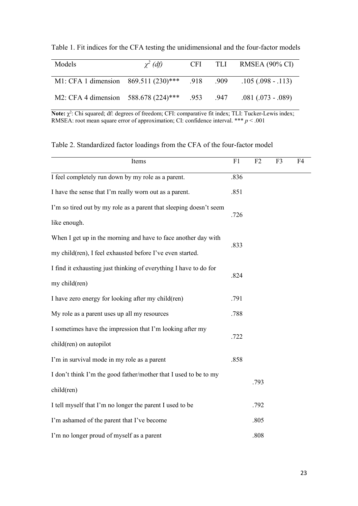| Table 1. Fit indices for the CFA testing the unidimensional and the four-factor models |  |  |  |  |  |
|----------------------------------------------------------------------------------------|--|--|--|--|--|
|----------------------------------------------------------------------------------------|--|--|--|--|--|

| Models                                                            | $\chi^2$ (df) |  | $CFI$ TLI RMSEA (90% CI) |
|-------------------------------------------------------------------|---------------|--|--------------------------|
| M1: CFA 1 dimension 869.511 (230)*** .918 .909 .105 (.098 - .113) |               |  |                          |
| M2: CFA 4 dimension 588.678 (224)*** .953 .947 .081 (.073 - .089) |               |  |                          |

Note: χ<sup>2</sup>: Chi squared; df: degrees of freedom; CFI: comparative fit index; TLI: Tucker-Lewis index; RMSEA: root mean square error of approximation; CI: confidence interval. \*\*\* *p* < .001

Table 2. Standardized factor loadings from the CFA of the four-factor model

| Items                                                                          | F1   | F2   | F3 | F4 |
|--------------------------------------------------------------------------------|------|------|----|----|
| I feel completely run down by my role as a parent.                             | .836 |      |    |    |
| I have the sense that I'm really worn out as a parent.                         | .851 |      |    |    |
| I'm so tired out by my role as a parent that sleeping doesn't seem             |      |      |    |    |
| like enough.                                                                   | .726 |      |    |    |
| When I get up in the morning and have to face another day with                 |      |      |    |    |
| my child(ren), I feel exhausted before I've even started.                      | .833 |      |    |    |
| I find it exhausting just thinking of everything I have to do for              |      |      |    |    |
| my child(ren)                                                                  | .824 |      |    |    |
| I have zero energy for looking after my child(ren)                             | .791 |      |    |    |
| My role as a parent uses up all my resources                                   | .788 |      |    |    |
| I sometimes have the impression that I'm looking after my                      | .722 |      |    |    |
| child(ren) on autopilot                                                        |      |      |    |    |
| I'm in survival mode in my role as a parent                                    | .858 |      |    |    |
| I don't think I'm the good father/mother that I used to be to my<br>child(ren) |      |      |    |    |
|                                                                                |      | .793 |    |    |
| I tell myself that I'm no longer the parent I used to be                       |      | .792 |    |    |
| I'm ashamed of the parent that I've become                                     |      | .805 |    |    |
| I'm no longer proud of myself as a parent                                      |      | .808 |    |    |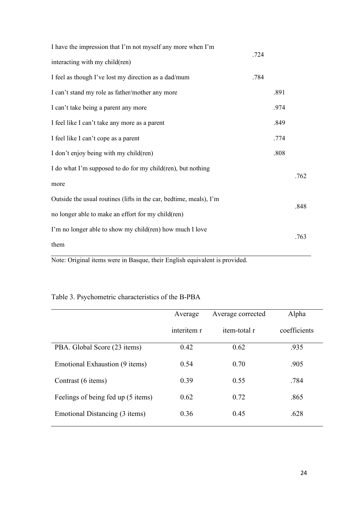| I have the impression that I'm not myself any more when I'm                | .724 |      |      |
|----------------------------------------------------------------------------|------|------|------|
| interacting with my child(ren)                                             |      |      |      |
| I feel as though I've lost my direction as a dad/mum                       | .784 |      |      |
| I can't stand my role as father/mother any more                            |      | .891 |      |
| I can't take being a parent any more                                       |      | .974 |      |
| I feel like I can't take any more as a parent                              |      | .849 |      |
| I feel like I can't cope as a parent                                       |      | .774 |      |
| I don't enjoy being with my child(ren)                                     |      | .808 |      |
| I do what I'm supposed to do for my child(ren), but nothing                |      |      | .762 |
| more                                                                       |      |      |      |
| Outside the usual routines (lifts in the car, bedtime, meals), I'm         |      |      | .848 |
| no longer able to make an effort for my child(ren)                         |      |      |      |
| I'm no longer able to show my child(ren) how much I love                   |      |      | .763 |
| them                                                                       |      |      |      |
| Note: Original items were in Basque, their English equivalent is provided. |      |      |      |

## Table 3. Psychometric characteristics of the B-PBA

|                                    | Average     | Average corrected |              |
|------------------------------------|-------------|-------------------|--------------|
|                                    | interitem r | item-total r      | coefficients |
| PBA. Global Score (23 items)       | 0.42        | 0.62              | .935         |
| Emotional Exhaustion (9 items)     | 0.54        | 0.70              | .905         |
| Contrast (6 items)                 | 0.39        | 0.55              | .784         |
| Feelings of being fed up (5 items) | 0.62        | 0.72              | .865         |
| Emotional Distancing (3 items)     | 0.36        | 0.45              | .628         |
|                                    |             |                   |              |